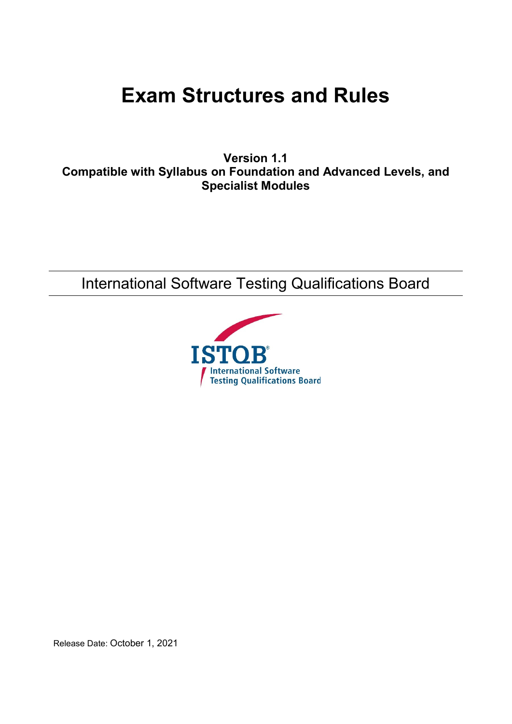# **Exam Structures and Rules**

**Version 1.1 Compatible with Syllabus on Foundation and Advanced Levels, and Specialist Modules**

International Software Testing Qualifications Board



Release Date: October 1, 2021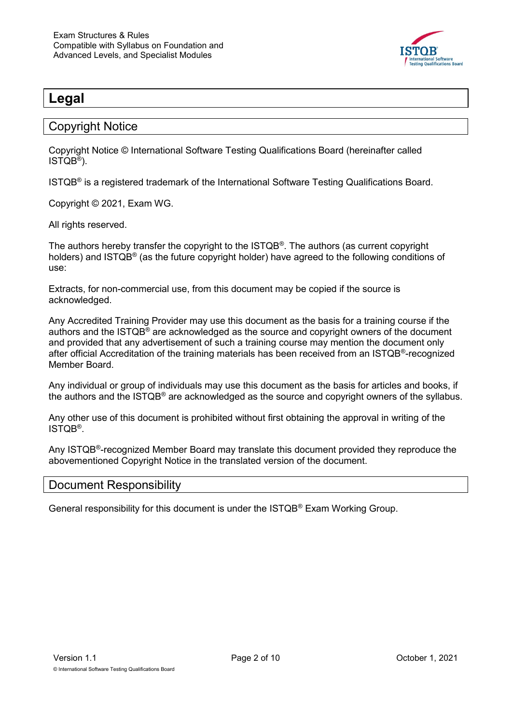

# <span id="page-1-0"></span>**Legal**

#### <span id="page-1-1"></span>Copyright Notice

Copyright Notice © International Software Testing Qualifications Board (hereinafter called ISTQB® ).

ISTQB® is a registered trademark of the International Software Testing Qualifications Board.

Copyright © 2021, Exam WG.

All rights reserved.

The authors hereby transfer the copyright to the ISTQB® . The authors (as current copyright holders) and ISTQB® (as the future copyright holder) have agreed to the following conditions of use:

Extracts, for non-commercial use, from this document may be copied if the source is acknowledged.

Any Accredited Training Provider may use this document as the basis for a training course if the authors and the ISTQB<sup>®</sup> are acknowledged as the source and copyright owners of the document and provided that any advertisement of such a training course may mention the document only after official Accreditation of the training materials has been received from an ISTQB®-recognized Member Board.

Any individual or group of individuals may use this document as the basis for articles and books, if the authors and the ISTQB® are acknowledged as the source and copyright owners of the syllabus.

Any other use of this document is prohibited without first obtaining the approval in writing of the ISTQB® .

Any ISTQB<sup>®</sup>-recognized Member Board may translate this document provided they reproduce the abovementioned Copyright Notice in the translated version of the document.

#### <span id="page-1-2"></span>Document Responsibility

General responsibility for this document is under the ISTQB® Exam Working Group.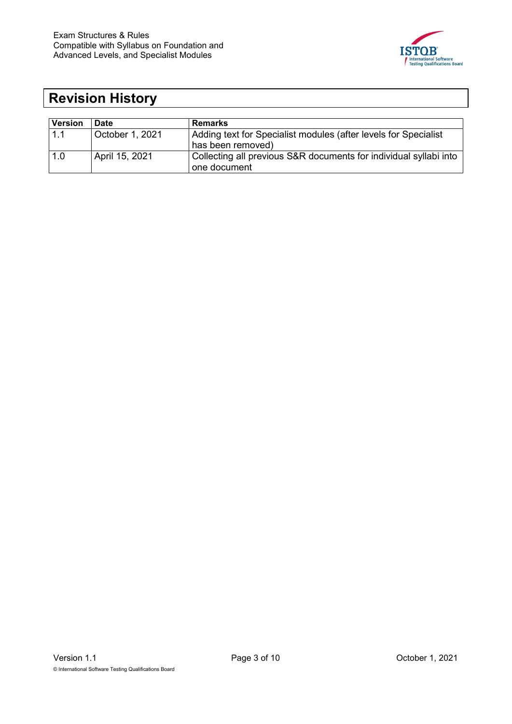

# <span id="page-2-0"></span>**Revision History**

| <b>Version</b> | <b>Date</b>     | <b>Remarks</b>                                                    |
|----------------|-----------------|-------------------------------------------------------------------|
| 1.1            | October 1, 2021 | Adding text for Specialist modules (after levels for Specialist   |
|                |                 | has been removed)                                                 |
| 1.0            | April 15, 2021  | Collecting all previous S&R documents for individual syllabi into |
|                |                 | one document                                                      |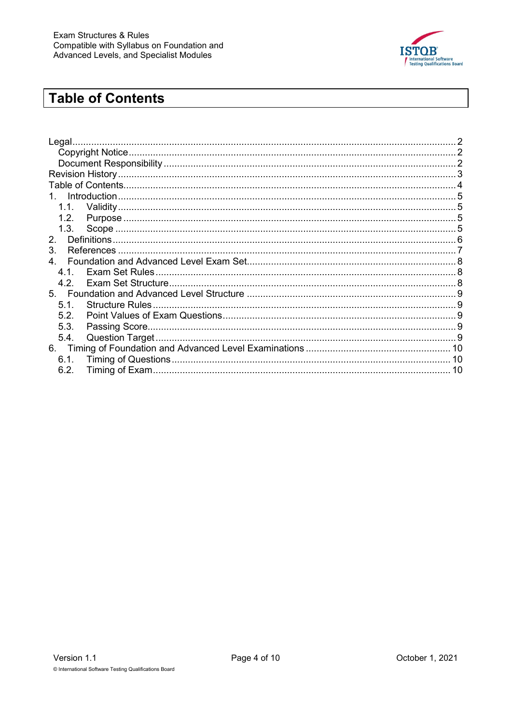

# <span id="page-3-0"></span>**Table of Contents**

| Legal.         |  |
|----------------|--|
|                |  |
|                |  |
|                |  |
|                |  |
|                |  |
|                |  |
| 1.2.           |  |
|                |  |
| 2.             |  |
| 3.             |  |
| $\overline{4}$ |  |
|                |  |
|                |  |
|                |  |
| 5.1.           |  |
| 5.2.           |  |
| 5.3.           |  |
| 5.4.           |  |
| 6.             |  |
| 6.1.           |  |
| 6.2.           |  |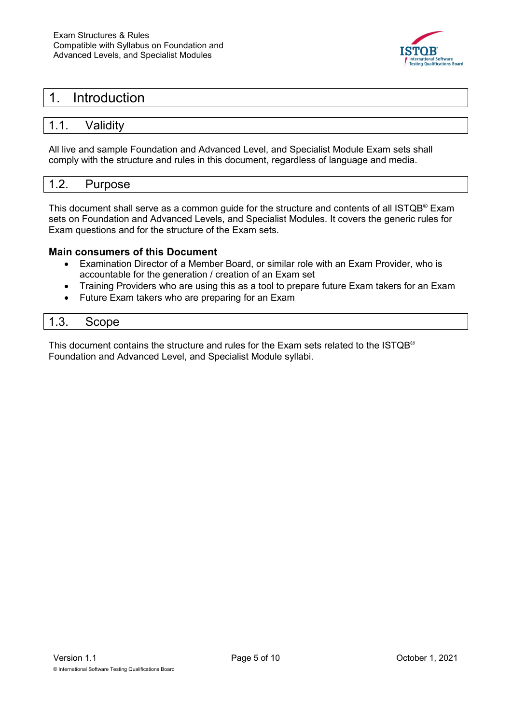

### <span id="page-4-0"></span>1. Introduction

#### <span id="page-4-1"></span>1.1. Validity

All live and sample Foundation and Advanced Level, and Specialist Module Exam sets shall comply with the structure and rules in this document, regardless of language and media.

#### <span id="page-4-2"></span>1.2. Purpose

This document shall serve as a common guide for the structure and contents of all ISTQB® Exam sets on Foundation and Advanced Levels, and Specialist Modules. It covers the generic rules for Exam questions and for the structure of the Exam sets.

#### **Main consumers of this Document**

- Examination Director of a Member Board, or similar role with an Exam Provider, who is accountable for the generation / creation of an Exam set
- Training Providers who are using this as a tool to prepare future Exam takers for an Exam
- Future Exam takers who are preparing for an Exam

<span id="page-4-3"></span>

| 1.3. | Scope |  |
|------|-------|--|
|      |       |  |

This document contains the structure and rules for the Exam sets related to the  $ISTQB^{\circledcirc}$ Foundation and Advanced Level, and Specialist Module syllabi.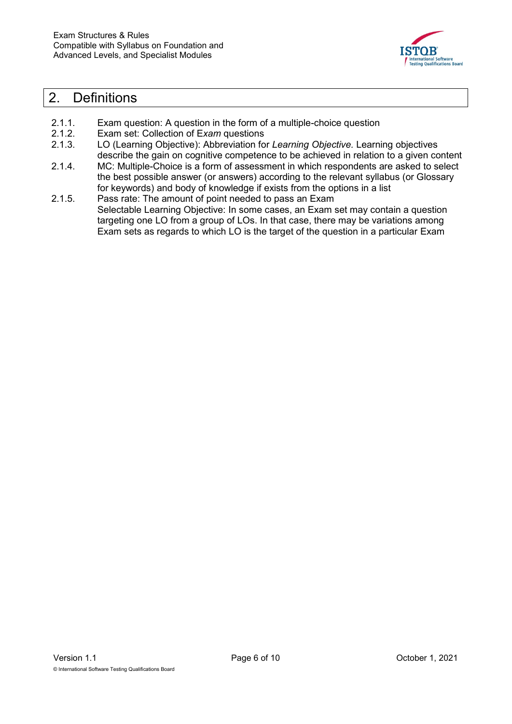

### <span id="page-5-0"></span>2. Definitions

- 2.1.1. Exam question: A question in the form of a multiple-choice question
- 2.1.2. Exam set: Collection of E*xam* questions
- 2.1.3. LO (Learning Objective): Abbreviation for *Learning Objective.* Learning objectives describe the gain on cognitive competence to be achieved in relation to a given content
- 2.1.4. MC: Multiple-Choice is a form of assessment in which respondents are asked to select the best possible answer (or answers) according to the relevant syllabus (or Glossary for keywords) and body of knowledge if exists from the options in a list
- 2.1.5. Pass rate: The amount of point needed to pass an Exam Selectable Learning Objective: In some cases, an Exam set may contain a question targeting one LO from a group of LOs. In that case, there may be variations among Exam sets as regards to which LO is the target of the question in a particular Exam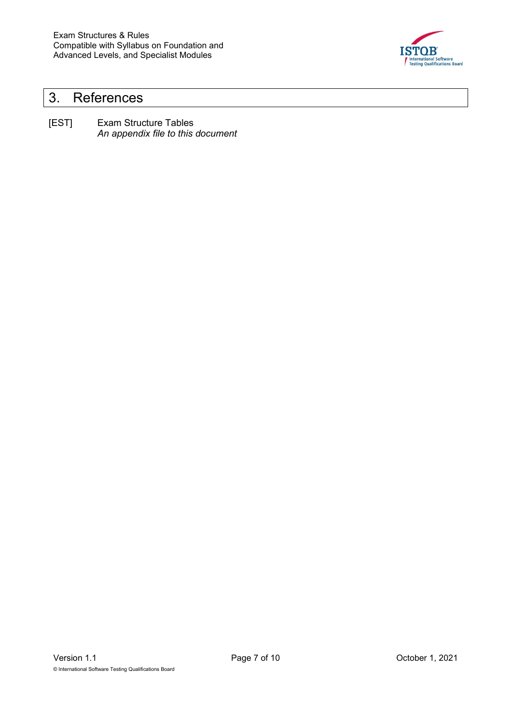

# <span id="page-6-0"></span>3. References

[EST] Exam Structure Tables *An appendix file to this document*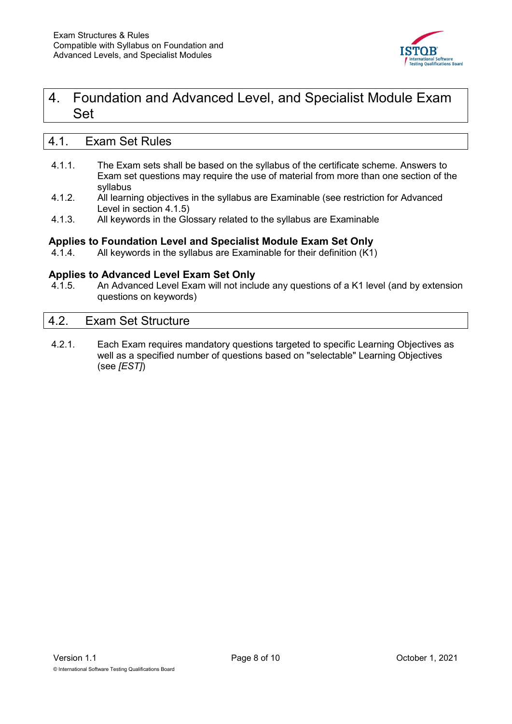

## <span id="page-7-0"></span>4. Foundation and Advanced Level, and Specialist Module Exam Set

#### <span id="page-7-1"></span>4.1. Exam Set Rules

- 4.1.1. The Exam sets shall be based on the syllabus of the certificate scheme. Answers to Exam set questions may require the use of material from more than one section of the syllabus
- 4.1.2. All learning objectives in the syllabus are Examinable (see restriction for Advanced Level in section [4.1.5\)](#page-7-3)
- 4.1.3. All keywords in the Glossary related to the syllabus are Examinable

#### **Applies to Foundation Level and Specialist Module Exam Set Only**

4.1.4. All keywords in the syllabus are Examinable for their definition (K1)

#### **Applies to Advanced Level Exam Set Only**

<span id="page-7-3"></span>4.1.5. An Advanced Level Exam will not include any questions of a K1 level (and by extension questions on keywords)

#### <span id="page-7-2"></span>4.2. Exam Set Structure

4.2.1. Each Exam requires mandatory questions targeted to specific Learning Objectives as well as a specified number of questions based on "selectable" Learning Objectives (see *[EST]*)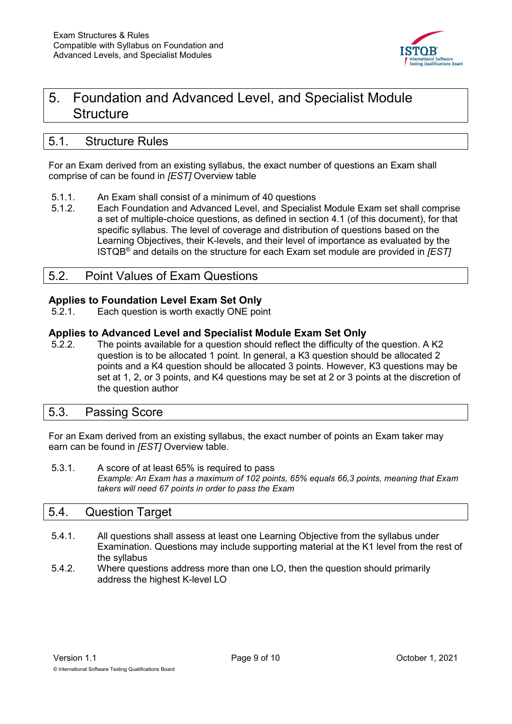

# <span id="page-8-0"></span>5. Foundation and Advanced Level, and Specialist Module **Structure**

#### <span id="page-8-1"></span>5.1. Structure Rules

For an Exam derived from an existing syllabus, the exact number of questions an Exam shall comprise of can be found in *[EST]* Overview table

- 5.1.1. An Exam shall consist of a minimum of 40 questions
- 5.1.2. Each Foundation and Advanced Level, and Specialist Module Exam set shall comprise a set of multiple-choice questions, as defined in section [4.1](#page-7-1) (of this document), for that specific syllabus. The level of coverage and distribution of questions based on the Learning Objectives, their K-levels, and their level of importance as evaluated by the ISTQB® and details on the structure for each Exam set module are provided in *[EST]*

#### <span id="page-8-2"></span>5.2. Point Values of Exam Questions

#### **Applies to Foundation Level Exam Set Only**

5.2.1. Each question is worth exactly ONE point

#### **Applies to Advanced Level and Specialist Module Exam Set Only**

5.2.2. The points available for a question should reflect the difficulty of the question. A K2 question is to be allocated 1 point. In general, a K3 question should be allocated 2 points and a K4 question should be allocated 3 points. However, K3 questions may be set at 1, 2, or 3 points, and K4 questions may be set at 2 or 3 points at the discretion of the question author

#### <span id="page-8-3"></span>5.3. Passing Score

For an Exam derived from an existing syllabus, the exact number of points an Exam taker may earn can be found in *[EST]* Overview table.

5.3.1. A score of at least 65% is required to pass *Example: An Exam has a maximum of 102 points, 65% equals 66,3 points, meaning that Exam takers will need 67 points in order to pass the Exam*

#### <span id="page-8-4"></span>5.4. Question Target

- 5.4.1. All questions shall assess at least one Learning Objective from the syllabus under Examination. Questions may include supporting material at the K1 level from the rest of the syllabus
- 5.4.2. Where questions address more than one LO, then the question should primarily address the highest K-level LO